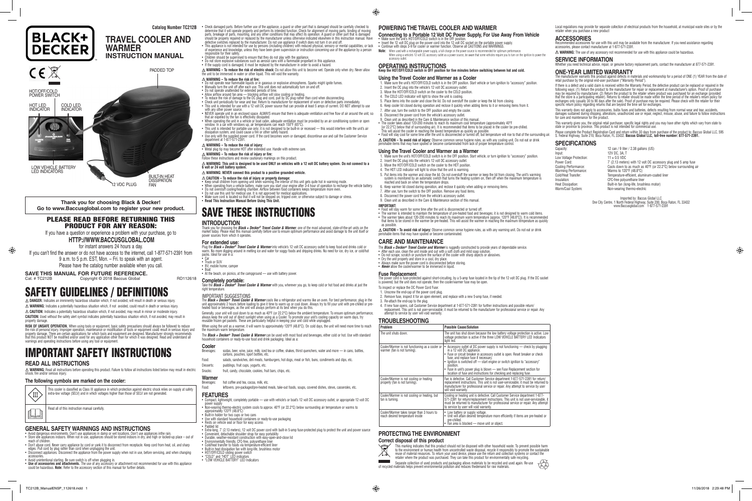### **Catalog Number TC212B**

**TRAVEL COOLER AND** 

**WARMER**

BUILT-IN HEAT<br>DISSIPATION FAN

**INSTRUCTION MANUAL**

COLD LED **INDICATOR** 

**BLACK+**<br>DECKER

PADDED TOP

HOT/OFF/COLD POWER SWITCH

LOW VEHICLE BATTERY LED INDICATORS

determine that it will operate properly and perform its intended function. Check for alignment of moving parts, binding of moving<br>parts, breakage of parts, mounting, and any other conditions that may affect its operation. • This appliance is not intended for use by persons (including children) with reduced physical, sensory or mental capabilities, or lack<br>of experience and knowledge, unless they have been given supervision or instruction co

- 
- Children should be supervised to ensure that they do not play with the appliance.<br>• Do not store explosive substances such as aerosol cans with a flammable propellant in this appliance.<br>• If the supply cord is damaged, i
- 

HOT LED INDICATOR

12 VDC PLUG

**SAVE THIS MANUAL FOR FUTURE REFERENCE.**

warnings and operating instructions before using any tool or equipment

**Thank you for choosing Black & Decker! Go to www.Baccusglobal.com to register your new product.** PLEASE READ BEFORE RETURNING THIS PRODUCT FOR ANY REASON: If you have a question or experience a problem with your purchase, go to **HTTP://WWW.BACCUSGLOBAL.COM** for instant answers 24 hours a day. If you can't find the answer or do not have access to the internet, call 1-877-571-2391 from 9 a.m. to 5 p.m. EST, Mon. – Fri. to speak with an agent. Please have the catalog number available when you call.

Copyright © 2018 Baccus Global RD112618

SAFETY GUIDELINES / DEFINITIONS **DANGER:** Indicates an imminently hazardous situation which, if not avoided, will result in death or serious injury. **WARNING:** Indicates a potentially hazardous situation which, if not avoided, could result in death or serious injury. **CAUTION:** Indicates a potentially hazardous situation which, if not avoided, may result in minor or moderate injury. **CAUTION:** Used without the safety alert symbol indicates potentially hazardous situation which, if not avoided, may result in

property damage.

• Don't abuse cord. Never carry appliance by cord or yank it to disconnect from receptacle. Keep cord from heat, oil, and sharp edges. Pull cord by plug rather than cord when unplugging the unit. • Disconnect appliances. Disconnect the appliance from the power supply when not in use, before servicing, and when changing

IMPORTANT SAFETY INSTRUCTIONS

**RISK OF UNSAFE OPERATION.** When using tools or equipment, basic safety precautions should always be followed to reduce<br>the risk of personal injury. Improper operation, maintenance or modification of tools or equipment cou

**READ ALL INSTRUCTIONS**

hock, fire and/or serious injury.

**WARNING:** Read all instructions before operating this product. Failure to follow all instructions listed below may result in electric

extra-low voltage (SELV) and in which voltages higher than those of SELV are not generate

• Avoid dangerous environments. Don't use appliances in damp or wet locations. Don't use appliances inthe rain.<br>• Store idle appliances indoors. When not in use, appliances should be stored indoors in dry, and high or lock

**The following symbols are marked on the cooler:** 

This cooler is classified as Class III appliance in which protection against electric shock relies on supply at safety

Read all of this instruction manual carefully.

**GENERAL SAFETY WARNINGS AND INSTRUCTIONS**

reach of children.

accessories.

 $\langle$ III)

- Do not operate near flammable liquids or in gaseous or explosive atmospheres. Sparks might ignite fumes.<br>• Manually tum the unit off after each use. This unit does not automatically turn on and off.<br>• Do not operate unat
- 
- 
- 
- Allow airflow around fan area blocking airflow will slow cooling or heating.<br>• To reduce the risk of damage to the DC plug and cord, pull by DC plug rather than cord when disconnecting.<br>• Check unit periodically for we • This unit is intended for use with a 12 volt DC power source that can provide at least 5 amps of current. DO NOT attempt to use
- with any other power source.<br>• NEVER operate unit in an enclosed space. ALWAYS ensure that there is adequate ventilation and free flow of air around the unit, so<br>• that air expelled by the fan is effectively dissipated.
- When operating the unit in a vehicle or boat cabin, adequate ventilation must be provided by an air conditioning system or open<br>- window. In a car with windows up, air temperatures can reach 150°F (65°C).<br>• This unit is
- dissipation system, and could cause a fire or other safety hazard.
- Use only with the supplied power cord. If the cord becomes worn or damaged, discontinue use and call the Customer Service department at 1-877-571-2391.
- 
- $\mathbin{\triangle}$  **WARNING To reduce the risk of injury:**<br>• Metal plug tip may become HOT after extended use. Handle with extreme care.
- **WARNING To reduce the risk of injury or fire:**
- Follow these instructions and review cautionary markings on this product. **WARNING: This unit is designed to be used ONLY on vehicles with a 12 volt DC battery system. Do not connect to a 6 volt or 24 volt battery system.**

• Check damaged parts. Before further use of the appliance, a guard or other part that is damaged should be carefully checked to

- 
- $\triangle$  CAUTION To reduce the risk of injury or property damage:<br>• Keep small children from opening unit when warming. The interior of this unit gets quite hot in warming mode.<br>• When operating from a vehicle battery, make
- 
- 
- **Read This Instruction Manual Before Using This Unit.**

Plug the **Black + Decker© Travel Cooler & Warmer** into vehicle's 12 volt DC accessory outlet to keep food and drinks cold or<br>warm. No more digging around in melting ice and water for soggy foods and dripping drinks. No ne packs. Ideal for use in a:

**WARNING – To reduce the risk of electric shock:** Do not allow this unit to become wet. Operate only when dry. Never allow the unit to be immersed in water or other liquid. This will void the warranty.

### **WARNING – To reduce the risk of fire:**

- sodas, beer, wine, juice, milk, iced tea or coffee, shakes, thirst quenchers, water and more in cans, bottles, cartons, pouches, sport bottles, etc.
- Food: salads, sandwiches, deli meats, hamburgers, hot dogs, meat or fish, buns, condiments and dips, etc. Desserts: puddings, fruit cups, yogurts, etc.
- Snacks: fruit, candy, chocolate, cookies, fruit bars, chips, etc.
- 

- Compact, lightweight, completely portable use with vehicle's or boat's 12 volt DC accessory outlet, or appropriate 12 volt DC
- power supply Non-wearing thermo-electric system cools to approx. 40°F (or 22.2°C) below surrounding air temperature or warms to
- approximately 120°F (48.8°C)
- 
- Built-in holder for two cups or two cans Use with standard household containers or ready-to-use packaging Rests on vehicle seat or floor for easy access
- 
- Padded lid<br>• Extra-long, 7' (2.13 meters), 12 volt DC power cord with built-in 5-amp fuse-protected plug to protect the unit and power source<br>• Convenient, detachable shoulder strap for easy portability<br>• Durable, weathe
- 
- 
- 
- Cold/heat transfer to foods via temperature-efficient liner<br>• Built-in heat dissipation fan with long-life, brushless motor<br>• HOT/OFF/COLD sliding power switch<br>• "COLD" and "HOT" LED indicators
- 
- "LOW VEHICLE BATTERY" LED Indicators
- Avoid unintentional starting. Be sure switch is off when plugging in.<br>• **Use of accessories and attachments.** The use of any accessory or attachment not recommended for use with this appliance<br>• could be hazardous. **Note**

2. Insert the DC plug into the vehicle's 12 volt DC accessory outlet. 3. Move the HOT/OFF/COLD switch on the cooler to the COLD position. 4. The COLD LED indicator will light to show the unit is cooling.

8. Disconnect the power cord from the vehicle's accessory outlet.<br>9. Clean unit as described in the Care & Maintenance section of this manual 9. Clean unit as described in the Care & Maintenance section of this manual.<br>• The cooler takes about 120-200 minutes to reach its maximum cool temperature (approximately 40°F<br>[or 22.2°C] below that of surrounding air). It • Food will stay cool for some time after the unit is disconnected or turned off, but temperature will rise to that of the surrounding air.

### **WARNING: NEVER connect this product to a positive grounded vehicle.**

- 1. Make sure the unit's HOT/OFF/COLD switch is in the OFF position. Start vehicle, or turn ignition to "accessory" position.<br>2. Insert the DC plug into the vehicle's 12 volt DC accessory outlet.
- 3. Move the HOT/OFF/COLD switch on the cooler to the HOT position.
- 4. The HOT LED indicator will light to show that the unit is warming.
- 5. Put items into the warmer and close the lid. Do not overstuff the warmer or keep the lid from closing. The unit's warming<br>system is monitored by an automatic switch that turns the heating system on, then off when the ma 6. Keep warmer lid closed during operation, and reclose it quickly when adding or removing items.
- After use, turn the switch to the OFF position. Remove any food items.
- 1. Alter doe, turn the switch to the GTT position: Hernove any foot
- 9. Clean unit as described in the Care & Maintenance section of this manual.

## SAVE THESE INSTRUCTIONS

### **INTRODUCTION**

Thank you for choosing the *Black + Decker® Travel Cooler & Warmer*, one of the most advanced, state-of-the-art units on the<br>market today. Please read this manual carefully before use to ensure optimum performance and avo power sources from which it operates

- 
- The *Black + Decker® Travel Cooler and Warmer* is ruggedly constructed to provide years of dependable service.<br>• After each use, clean the unit inside and out with a soft cloth and mild soap solution.<br>• Do not scrape, scra
- Dry the unit properly and store in a cool, dry place.
- 
- Always make sure the power cord is disconnected before storing. *Never* allow the cooler/warmer to be immersed in liquid.

### **For extended use:**

### • Car • Truck or SUV

- RV, mobile home, camper
- 

• Boat • At the beach, on picnics, at the campground — use with battery power.

### **Completely portable:**

Take the *Black + Decker® Travel Cooler & Warmer* with you, wherever you go, to keep cold or hot food and drinks at just the right temperature.

#### IMPORTANT SUGGESTIONS

The *Black + Decker® Travel Cooler & Warmer* cools like a refrigerator and warms like an oven. For best performance, plug in the<br>unit approximately 2 hours before loading to give it time to warm up or cool down. Always try

Generally, your unit will cool down to as much as 40°F (or 22.2°C) below the ambient temperature. To ensure optimum performance,<br>always keep the unit out of direct sunlight when using as a Cooler. To promote your unit's co

When using the unit as a warmer, it will warm to approximately 120°F (48.8°C). On cold days, the unit will need more time to reach tum warm temperature

The *Black + Decker® Travel Cooler & Warmer* can be used with most food and beverages, either cold or hot. Use with standard household containers or ready-to-use food and drink packaging. Ideal as a:

### **Cooler**<br>Beverages:

If there is a defect and a valid claim is received within the Warranty Period, the defective product can be replaced or repaired in the following ways: (1) Return the product to the manufacturer for repair or replacement at manufacturer's option. Proof of purchase<br>may be required by manufacturer. (2) Return the product to the retailer where product was pur exchanges only (usually 30 to 90 days after the sale). Proof of purchase may be required. Please check with the retailer for their<br>specific return policy regarding returns that are beyond the time set for exchanges.

This warranty does not apply to accessories, bulbs fuses and batteries, defects resulting from normal wear and tear, accidents,<br>damages sustained during shipping, alterations, unauthorized use or repair, neglect, misuse, a

This warranty gives you, the original retail purchaser, specific legal rights and you may have other rights which vary from state to<br>state or province to province. This product is not intended for commercial use.

Please complete the Product Registration Card and return within 30 days from purchase of the product to: Baccus Global LLC, 595<br>S. Federal Highway, Suite 210, Boca Raton, FL 33432. **Baccus Global LLC, toll-free number: 877** 

## **SPECIFICATIONS**<br>Capacity:

Input: 12V DC, 3A, T<br>
Low Voltage Protection: 11 ± 0.5 VDC Low Voltage Protection:<br>Power Cord:

12 can / 9 liter / 2.38 gallons (US) Power Cord: 7' (2.13 meters) with 12 volt DC accessory plug and 5 amp fuse<br>Cooling Performance: Cools down to as much as 40°F (or 22.2°C) below surrounding a Cooling Performance: Cools down to as much as 40°F (or 22.2°C) below surrounding air Warming Performance: Warms to 120°F (48.8°C) Cold/Heat Transfer: Temperature-efficient, aluminum-coated liner Insulation: CFC-free polyurethane liner Heat Dissipation: Built-in fan (long-life, brushless motor)<br>Warm/Cool System: Non-wearing thermo-electric Non-wearing thermo-electric

#### **Warmer** Beverages: hot coffee and tea, cocoa, milk, etc.

Food: leftovers, pre-packaged/pre-heated meals, take-out foods, soups, covered dishes, stews, casseroles, etc.

### **FEATURES**

Imported by: Baccus Global LLC One City Centre, 1 North Federal Highway, Suite 200, Boca Raton, FL 33432 www.Baccusglobal.com 1-877-571-2391



 $\bigoplus$ 

**POWERING THE TRAVEL COOLER AND WARMER**

**Connecting to a Portable 12 Volt DC Power Supply, For Use Away From Vehicle**

• Insert the 12 volt DC plug on the power cord into the 12 volt DC socket on the portable power supply. • Continue with steps 3-9 for cooler or warmer function. Observe all CAUTIONS and WARNINGS.

**OPERATING INSTRUCTIONS**

accessory outle

Δ **CAUTION – To avoid risk of injury:** Observe common sense hygiene rules, as with any cooling unit. Do not eat or drink<br>perishable items that may have spoiled or become contaminated from lack of proper temperature contro

**Keep the HOT/OFF/COLD switch in OFF position for five minutes before switching between hot and cold.**

**Using the Travel Cooler and Warmer as a Cooler**

After use, turn the switch to the OFF position and empty the cooler.

1. Make sure the unit's HOT/OFF/COLD switch is in the OFF position. Start vehicle or turn ignition to "accessory" position.

**Note:** When used with a rechargeable power supply, a full-charge on the power source is recommended for optimum performance.<br>When using a vehicle's 12 volt DC accessory outlet as a power source, be aware that some vehicle

Make sure the unit's HOT/OFF/COLD switch is in the OFF position.

5. Place items into the cooler and close the lid. Do not overstuff the cooler or keep the lid from closing. 6. Keep cooler lid closed during operation and reclose it quickly when adding items to it or removing items from it.

### **Using the Travel Cooler and Warmer as a Warmer**

### **IMPORTANT:**

- 
- Food will stay warm for some time after the unit is disconnected or turned off.<br>• The warmer is intended to maintain the temperature of pre-heated food and beverages; it is not designed to warm cold items.<br>• The warmer t that items to be stored in the warmer be pre-heated. This will assist the warmer in reaching the maximum temperature as quickly as possible

**CAUTION – To avoid risk of injury:** Observe common sense hygiene rules, as with any warming unit. Do not eat or drink perishable items that may have spoiled or become contaminated.

### **CARE AND MAINTENANCE**

### **Fuse Replacement**

The power cord is fuse-protected against short-circuiting, by a 5-amp fuse located in the tip of the 12 volt DC plug. If the DC socket is powered, but the unit does not operate, then the cooler/warmer fuse may be open. To inspect or replace the DC Power Cord Fuse:

- 
- 1. Unscrew the end-cap of the power cord plug. . Remove fuse, inspect it for an open element, and replace with a new 5-amp fuse, if needed
- 3. Re-attach the end-cap to the plug.
- 4. If new fuse opens, call Customer Service department at 1-877-571-2391 for further instructions and possible return/ replacement. This unit is not user-serviceable; it must be returned to the manufacturer for professional service or repair. Any attempt to service by user will void warranty.

### **TROUBLESHOOTING**

| Problem                                                                         | <b>Possible Cause/Solution</b>                                                                                                                                                                                                                                                                                                                                                                                                                                              |
|---------------------------------------------------------------------------------|-----------------------------------------------------------------------------------------------------------------------------------------------------------------------------------------------------------------------------------------------------------------------------------------------------------------------------------------------------------------------------------------------------------------------------------------------------------------------------|
| The unit shuts down.                                                            | The unit has shut down because the low battery voltage protection is active. Low<br>voltage protection is active if the three LOW VEHICLE BATTERY LED Indicators<br>light red.                                                                                                                                                                                                                                                                                              |
| Cooler/Warmer is not functioning as a cooler or<br>warmer (fan is not turning). | Accessory outlet of DC power supply is not functioning — check by plugging<br>in a 12 volt DC appliance.<br>• Fuse or circuit breaker in accessory outlet is open. Reset breaker or check<br>fuse, and replace fuse if necessary.<br>• Ignition is switched off - start engine or switch ignition to "accessory"<br>position.<br>• Fuse in unit's power plug is blown — see Fuse Replacement section for location of fuse and instructions for checking and replacing fuse. |
| Cooler/Warmer is not cooling or heating<br>properly (fan is not turning).       | Fan is defective. Call Customer Service department 1-877-571-2391 for return/<br>replacement instructions. This unit is not user-serviceable, it must be returned to<br>manufacturer for professional service or repair. Any attempt to service by user<br>will void warranty.                                                                                                                                                                                              |
| Cooler/Warmer is not cooling or heating, but<br>fan is turning.                 | Cooling or heating unit is defective. Call Customer Service department 1-877-<br>571-2391 for return/replacement instructions. This unit is not user-serviceable, it<br>must be returned to manufacturer for professional service or repair. Any attempt<br>to service by user will void warranty.                                                                                                                                                                          |
| Cooler/Warmer takes longer than 3 hours to<br>reach desired temperature inside  | • Low battery or supply voltage.<br>• Unit will attain desired temperature more efficiently if items are pre-heated or<br>pre-chilled.<br>• Fan area is blocked — move unit or object.                                                                                                                                                                                                                                                                                      |

### **PROTECTING THE ENVIRONMENT**

#### **Correct disposal of this product**

- This marking indicates that this product should not be disposed with other household waste. To prevent possible harm  $\blacktriangledown$
- to the environment or human health from uncontrolled waste disposal, recycle it responsibly to promote the sustainable<br>reuse of material resources. To return your used device, please use the return and collection systems o  $\sqrt{2}$
- Separate collection of used products and packaging allows materials to be recycled and used again. Re-use of recycled materials helps prevent environmental pollution and reduces thedemand for raw materials.

Local regulations may provide for separate collection of electrical products from the household, at municipal waste sites or by the

 $\triangle$  **WARNING:** The use of any accessory not recommended for use with this appliance could be hazardous.

retailer when you purchase a new product

u need technical advice, repair, or genuine factory replacement parts, contact the manufacturer at 877-571-2391

### **ACCESSORIES**

Recommended accessories for use with this unit may be available from the manufacturer. If you need assistance regarding<br>accessories, please contact manufacturer at 1-877-571-2391.

### **SERVICE INFORMATION**

### **ONE-YEAR LIMITED WARRANTY**

The manufacturer warrants this product against defects in materials and workmanship for a period of ONE (1) YEAR from the date of<br>retail purchase by the original end-user purchaser ("Warranty Period").